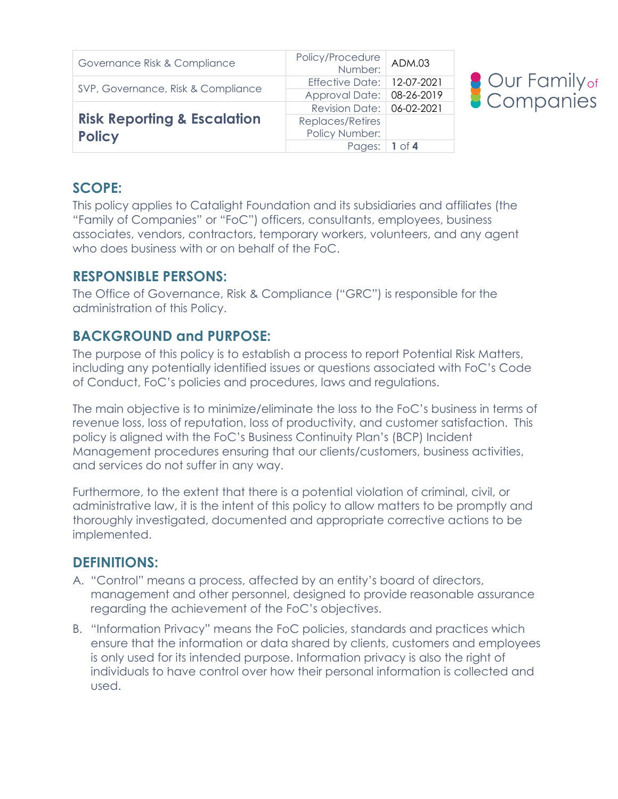| Governance Risk & Compliance           | Policy/Procedure<br>:Number  | ADM.03   |
|----------------------------------------|------------------------------|----------|
| SVP, Governance, Risk & Compliance     | Effective Date:   12-07-2021 |          |
|                                        | Approval Date: 08-26-2019    |          |
|                                        | Revision Date: 06-02-2021    |          |
| <b>Risk Reporting &amp; Escalation</b> | Replaces/Retires             |          |
| <b>Policy</b>                          | Policy Number:               |          |
|                                        | Pages:                       | $1$ of 4 |



## **SCOPE:**

This policy applies to Catalight Foundation and its subsidiaries and affiliates (the "Family of Companies" or "FoC") officers, consultants, employees, business associates, vendors, contractors, temporary workers, volunteers, and any agent who does business with or on behalf of the FoC.

#### **RESPONSIBLE PERSONS:**

The Office of Governance, Risk & Compliance ("GRC") is responsible for the administration of this Policy.

## **BACKGROUND and PURPOSE:**

The purpose of this policy is to establish a process to report Potential Risk Matters, including any potentially identified issues or questions associated with FoC's Code of Conduct, FoC's policies and procedures, laws and regulations.

The main objective is to minimize/eliminate the loss to the FoC's business in terms of revenue loss, loss of reputation, loss of productivity, and customer satisfaction. This policy is aligned with the FoC's Business Continuity Plan's (BCP) Incident Management procedures ensuring that our clients/customers, business activities, and services do not suffer in any way.

Furthermore, to the extent that there is a potential violation of criminal, civil, or administrative law, it is the intent of this policy to allow matters to be promptly and thoroughly investigated, documented and appropriate corrective actions to be implemented.

## **DEFINITIONS:**

- A. "Control" means a process, affected by an entity's board of directors, management and other personnel, designed to provide reasonable assurance regarding the achievement of the FoC's objectives.
- B. "Information Privacy" means the FoC policies, standards and practices which ensure that the information or data shared by clients, customers and employees is only used for its intended purpose. Information privacy is also the right of individuals to have control over how their personal information is collected and used.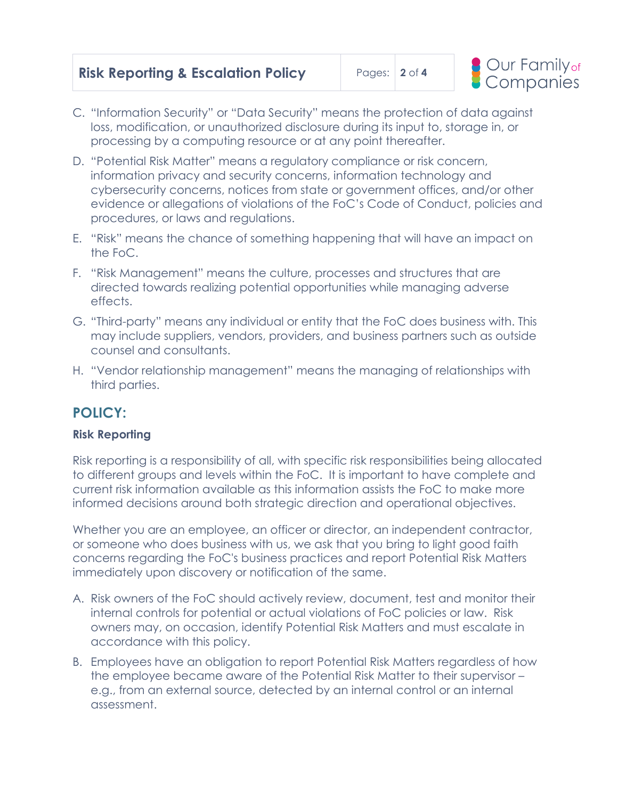

- C. "Information Security" or "Data Security" means the protection of data against loss, modification, or unauthorized disclosure during its input to, storage in, or processing by a computing resource or at any point thereafter.
- D. "Potential Risk Matter" means a regulatory compliance or risk concern, information privacy and security concerns, information technology and cybersecurity concerns, notices from state or government offices, and/or other evidence or allegations of violations of the FoC's Code of Conduct, policies and procedures, or laws and regulations.
- E. "Risk" means the chance of something happening that will have an impact on the FoC.
- F. "Risk Management" means the culture, processes and structures that are directed towards realizing potential opportunities while managing adverse effects.
- G. "Third-party" means any individual or entity that the FoC does business with. This may include suppliers, vendors, providers, and business partners such as outside counsel and consultants.
- H. "Vendor relationship management" means the managing of relationships with third parties.

# **POLICY:**

#### **Risk Reporting**

Risk reporting is a responsibility of all, with specific risk responsibilities being allocated to different groups and levels within the FoC. It is important to have complete and current risk information available as this information assists the FoC to make more informed decisions around both strategic direction and operational objectives.

Whether you are an employee, an officer or director, an independent contractor, or someone who does business with us, we ask that you bring to light good faith concerns regarding the FoC's business practices and report Potential Risk Matters immediately upon discovery or notification of the same.

- A. Risk owners of the FoC should actively review, document, test and monitor their internal controls for potential or actual violations of FoC policies or law. Risk owners may, on occasion, identify Potential Risk Matters and must escalate in accordance with this policy.
- B. Employees have an obligation to report Potential Risk Matters regardless of how the employee became aware of the Potential Risk Matter to their supervisor – e.g., from an external source, detected by an internal control or an internal assessment.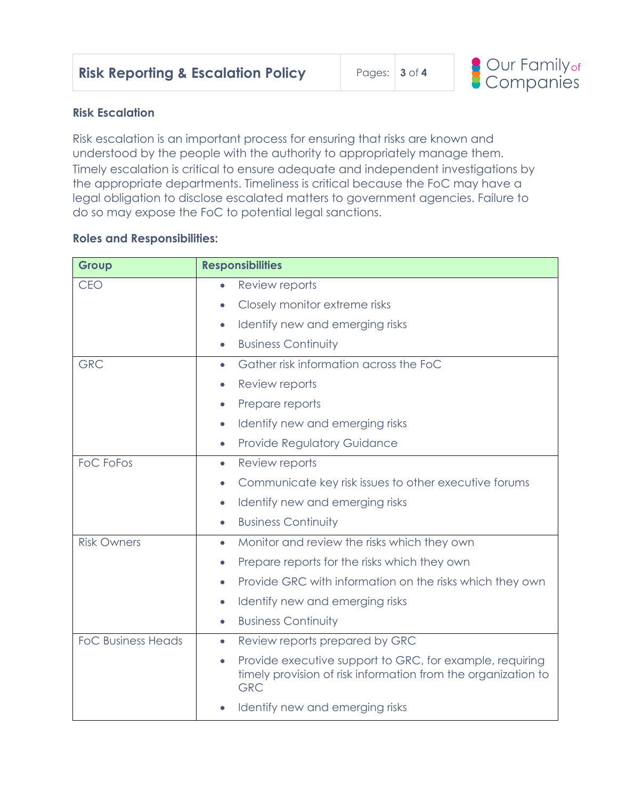

#### **Risk Escalation**

Risk escalation is an important process for ensuring that risks are known and understood by the people with the authority to appropriately manage them. Timely escalation is critical to ensure adequate and independent investigations by the appropriate departments. Timeliness is critical because the FoC may have a legal obligation to disclose escalated matters to government agencies. Failure to do so may expose the FoC to potential legal sanctions.

#### **Roles and Responsibilities:**

| Group                     | <b>Responsibilities</b>                                                                                                                              |
|---------------------------|------------------------------------------------------------------------------------------------------------------------------------------------------|
| <b>CEO</b>                | Review reports<br>$\bullet$                                                                                                                          |
|                           | Closely monitor extreme risks<br>$\bullet$                                                                                                           |
|                           | Identify new and emerging risks<br>$\bullet$                                                                                                         |
|                           | <b>Business Continuity</b><br>$\bullet$                                                                                                              |
| <b>GRC</b>                | Gather risk information across the FoC<br>$\bullet$                                                                                                  |
|                           | Review reports<br>$\bullet$                                                                                                                          |
|                           | Prepare reports<br>$\bullet$                                                                                                                         |
|                           | Identify new and emerging risks<br>$\bullet$                                                                                                         |
|                           | <b>Provide Regulatory Guidance</b><br>$\bullet$                                                                                                      |
| <b>FoC FoFos</b>          | Review reports<br>$\bullet$                                                                                                                          |
|                           | Communicate key risk issues to other executive forums<br>$\bullet$                                                                                   |
|                           | Identify new and emerging risks<br>$\bullet$                                                                                                         |
|                           | <b>Business Continuity</b><br>$\bullet$                                                                                                              |
| <b>Risk Owners</b>        | Monitor and review the risks which they own<br>$\bullet$                                                                                             |
|                           | Prepare reports for the risks which they own<br>$\bullet$                                                                                            |
|                           | Provide GRC with information on the risks which they own<br>$\bullet$                                                                                |
|                           | Identify new and emerging risks<br>$\bullet$                                                                                                         |
|                           | <b>Business Continuity</b><br>$\bullet$                                                                                                              |
| <b>FoC Business Heads</b> | Review reports prepared by GRC<br>$\bullet$                                                                                                          |
|                           | Provide executive support to GRC, for example, requiring<br>$\bullet$<br>timely provision of risk information from the organization to<br><b>GRC</b> |
|                           | Identify new and emerging risks                                                                                                                      |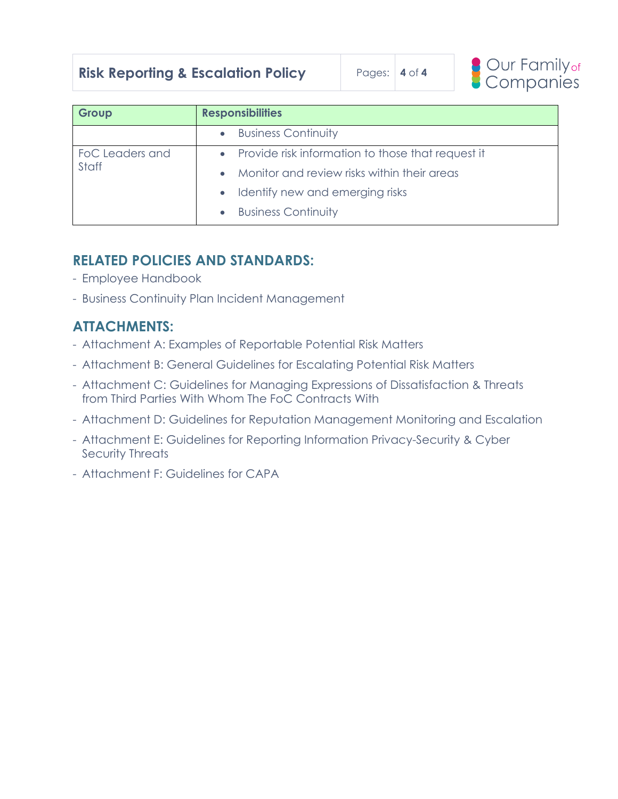## **Risk Reporting & Escalation Policy** Pages: | 4 of 4



| Group           | <b>Responsibilities</b>                             |  |  |  |
|-----------------|-----------------------------------------------------|--|--|--|
|                 | <b>Business Continuity</b><br>$\bullet$             |  |  |  |
| FoC Leaders and | • Provide risk information to those that request it |  |  |  |
| Staff           | Monitor and review risks within their areas         |  |  |  |
|                 | Identify new and emerging risks                     |  |  |  |
|                 | <b>Business Continuity</b><br>$\bullet$             |  |  |  |

#### **RELATED POLICIES AND STANDARDS:**

- Employee Handbook
- Business Continuity Plan Incident Management

# **ATTACHMENTS:**

- Attachment A: Examples of Reportable Potential Risk Matters
- Attachment B: General Guidelines for Escalating Potential Risk Matters
- Attachment C: Guidelines for Managing Expressions of Dissatisfaction & Threats from Third Parties With Whom The FoC Contracts With
- Attachment D: Guidelines for Reputation Management Monitoring and Escalation
- Attachment E: Guidelines for Reporting Information Privacy-Security & Cyber Security Threats
- Attachment F: Guidelines for CAPA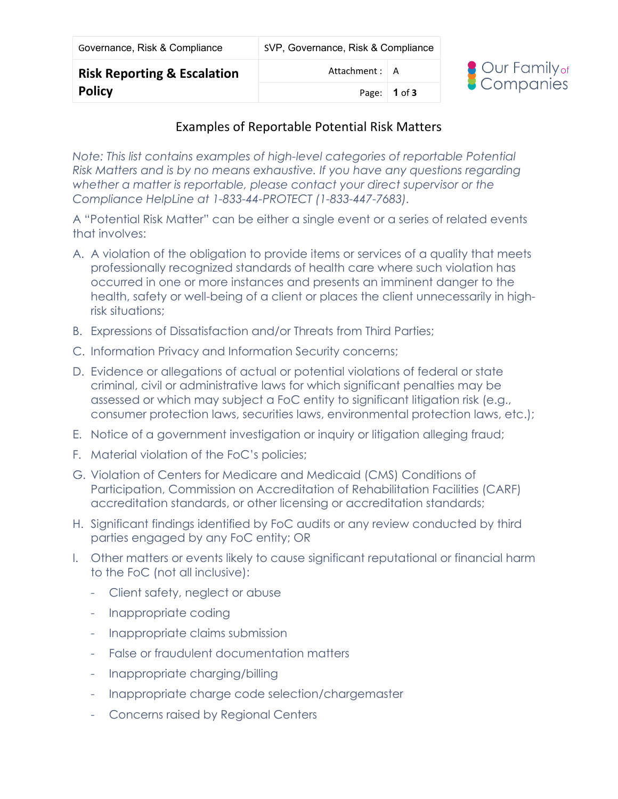| Governance, Risk & Compliance | SVP, Governance, Risk & Compliance |  |
|-------------------------------|------------------------------------|--|
|                               |                                    |  |

Page: **1** of **3**



#### Examples of Reportable Potential Risk Matters

*Note: This list contains examples of high-level categories of reportable Potential Risk Matters and is by no means exhaustive. If you have any questions regarding whether a matter is reportable, please contact your direct supervisor or the Compliance HelpLine at 1-833-44-PROTECT (1-833-447-7683).*

A "Potential Risk Matter" can be either a single event or a series of related events that involves:

- A. A violation of the obligation to provide items or services of a quality that meets professionally recognized standards of health care where such violation has occurred in one or more instances and presents an imminent danger to the health, safety or well-being of a client or places the client unnecessarily in highrisk situations;
- B. Expressions of Dissatisfaction and/or Threats from Third Parties;
- C. Information Privacy and Information Security concerns;
- D. Evidence or allegations of actual or potential violations of federal or state criminal, civil or administrative laws for which significant penalties may be assessed or which may subject a FoC entity to significant litigation risk (e.g., consumer protection laws, securities laws, environmental protection laws, etc.);
- E. Notice of a government investigation or inquiry or litigation alleging fraud;
- F. Material violation of the FoC's policies;
- G. Violation of Centers for Medicare and Medicaid (CMS) Conditions of Participation, Commission on Accreditation of Rehabilitation Facilities (CARF) accreditation standards, or other licensing or accreditation standards;
- H. Significant findings identified by FoC audits or any review conducted by third parties engaged by any FoC entity; OR
- I. Other matters or events likely to cause significant reputational or financial harm to the FoC (not all inclusive):
	- Client safety, neglect or abuse
	- Inappropriate coding
	- Inappropriate claims submission
	- False or fraudulent documentation matters
	- Inappropriate charging/billing
	- Inappropriate charge code selection/chargemaster
	- Concerns raised by Regional Centers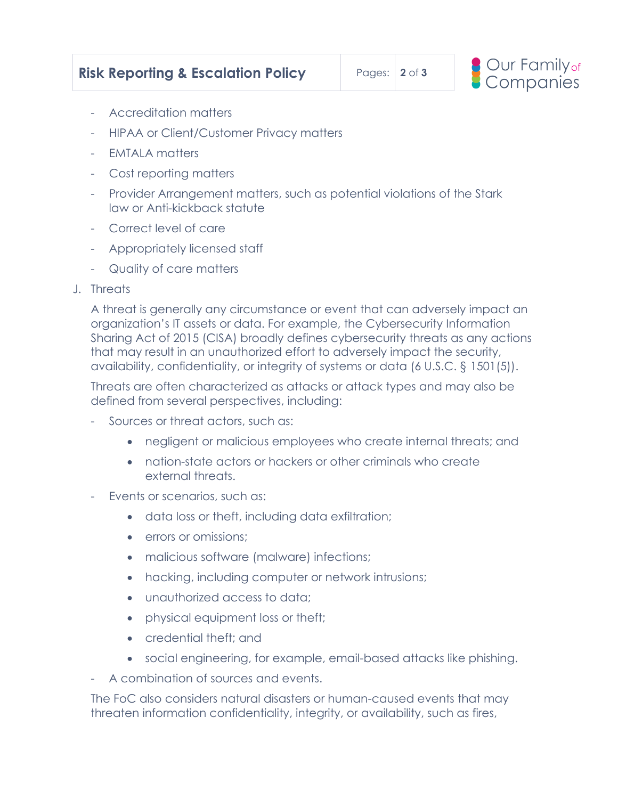

- Accreditation matters
- HIPAA or Client/Customer Privacy matters
- EMTALA matters
- Cost reporting matters
- Provider Arrangement matters, such as potential violations of the Stark law or Anti-kickback statute
- Correct level of care
- Appropriately licensed staff
- Quality of care matters
- J. Threats

A threat is generally any circumstance or event that can adversely impact an organization's IT assets or data. For example, the Cybersecurity Information Sharing Act of 2015 (CISA) broadly defines cybersecurity threats as any actions that may result in an unauthorized effort to adversely impact the security, availability, confidentiality, or integrity of systems or data [\(6 U.S.C. § 1501\(5\)\)](http://practicallawconnect.thomsonreuters.com/Link/Document/FullText?findType=L&pubNum=1000546&cite=6USCAS1501&originatingDoc=I456584dc12fb11e698dc8b09b4f043e0&refType=SP&originationContext=document&vr=3.0&rs=cblt1.0&transitionType=PLDocumentLink&billingHash=109F56836E1B7594C75213E205422D53ADB1D3E6663B17959619D2FD842F0916&contextData=(sc.Search)#co_pp_362c000048fd7).

Threats are often characterized as attacks or attack types and may also be defined from several perspectives, including:

- Sources or threat actors, such as:
	- negligent or malicious employees who create internal threats; and
	- nation-state actors or hackers or other criminals who create external threats.
- Events or scenarios, such as:
	- data loss or theft, including data exfiltration;
	- errors or omissions:
	- malicious software [\(malware\)](http://practicallawconnect.thomsonreuters.com/Document/Id4cf18e1f3ad11e28578f7ccc38dcbee/View/FullText.html?originationContext=document&vr=3.0&rs=cblt1.0&transitionType=DocumentItem&contextData=(sc.Search)) infections;
	- hacking, including computer or network intrusions;
	- unauthorized access to data;
	- physical equipment loss or theft;
	- credential theft; and
	- social engineering, for example, email-based attacks like phishing.
- A combination of sources and events.

The FoC also considers natural disasters or human-caused events that may threaten information confidentiality, integrity, or availability, such as fires,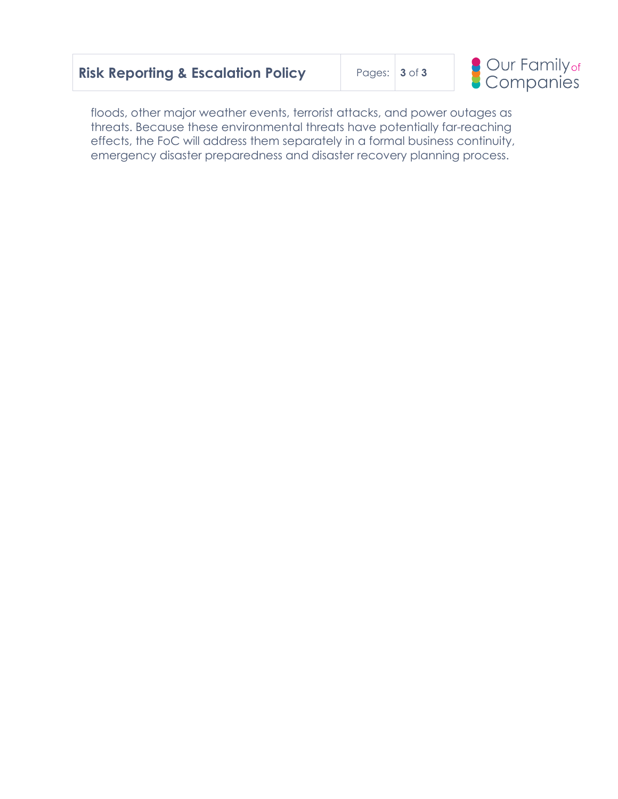|  |  | <b>Risk Reporting &amp; Escalation Policy</b> |  |
|--|--|-----------------------------------------------|--|
|--|--|-----------------------------------------------|--|

**Risk Reporting & Escalation Policy** Pages: **3** of **3**



floods, other major weather events, terrorist attacks, and power outages as threats. Because these environmental threats have potentially far-reaching effects, the FoC will address them separately in a formal business continuity, emergency disaster preparedness and disaster recovery planning process.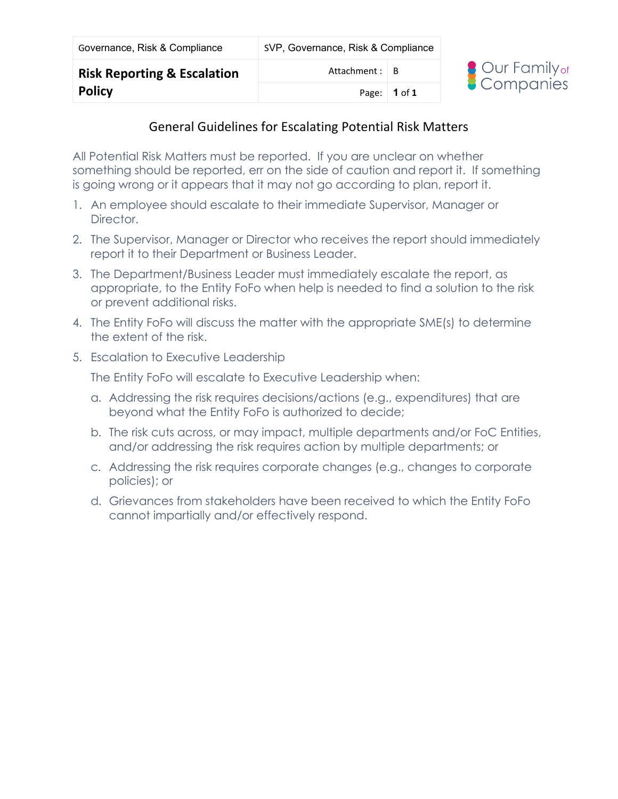| Governance, Risk & Compliance          | SVP, Governance, Risk & Compliance |  |  |
|----------------------------------------|------------------------------------|--|--|
| <b>Risk Reporting &amp; Escalation</b> | Attachment : $\vert$ B             |  |  |



## General Guidelines for Escalating Potential Risk Matters

Page: **1** of **1**

All Potential Risk Matters must be reported. If you are unclear on whether something should be reported, err on the side of caution and report it. If something is going wrong or it appears that it may not go according to plan, report it.

- 1. An employee should escalate to their immediate Supervisor, Manager or Director.
- 2. The Supervisor, Manager or Director who receives the report should immediately report it to their Department or Business Leader.
- 3. The Department/Business Leader must immediately escalate the report, as appropriate, to the Entity FoFo when help is needed to find a solution to the risk or prevent additional risks.
- 4. The Entity FoFo will discuss the matter with the appropriate SME(s) to determine the extent of the risk.
- 5. Escalation to Executive Leadership

The Entity FoFo will escalate to Executive Leadership when:

- a. Addressing the risk requires decisions/actions (e.g., expenditures) that are beyond what the Entity FoFo is authorized to decide;
- b. The risk cuts across, or may impact, multiple departments and/or FoC Entities, and/or addressing the risk requires action by multiple departments; or
- c. Addressing the risk requires corporate changes (e.g., changes to corporate policies); or
- d. Grievances from stakeholders have been received to which the Entity FoFo cannot impartially and/or effectively respond.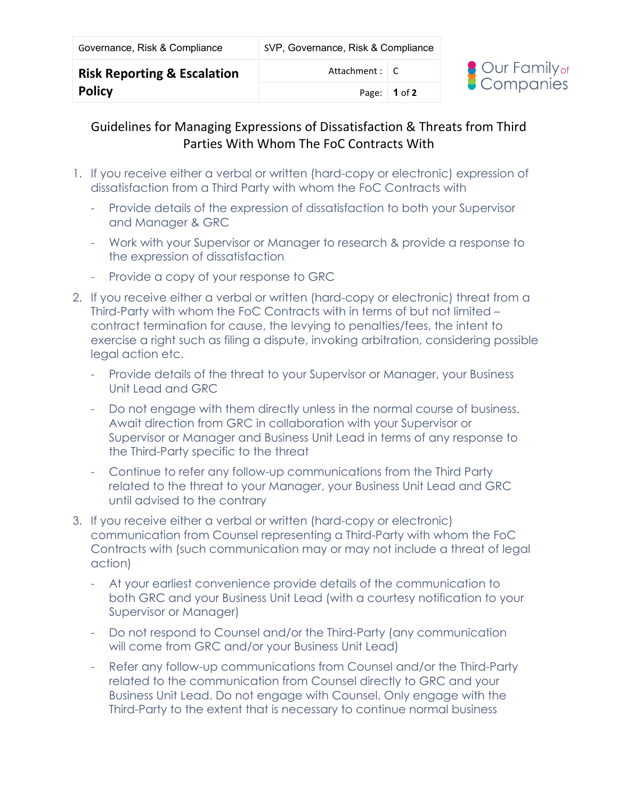# Guidelines for Managing Expressions of Dissatisfaction & Threats from Third Parties With Whom The FoC Contracts With

- 1. If you receive either a verbal or written (hard-copy or electronic) expression of dissatisfaction from a Third Party with whom the FoC Contracts with
	- Provide details of the expression of dissatisfaction to both your Supervisor and Manager & GRC
	- Work with your Supervisor or Manager to research & provide a response to the expression of dissatisfaction
	- Provide a copy of your response to GRC
- 2. If you receive either a verbal or written (hard-copy or electronic) threat from a Third-Party with whom the FoC Contracts with in terms of but not limited – contract termination for cause, the levying to penalties/fees, the intent to exercise a right such as filing a dispute, invoking arbitration, considering possible legal action etc.
	- Provide details of the threat to your Supervisor or Manager, your Business Unit Lead and GRC
	- Do not engage with them directly unless in the normal course of business. Await direction from GRC in collaboration with your Supervisor or Supervisor or Manager and Business Unit Lead in terms of any response to the Third-Party specific to the threat
	- Continue to refer any follow-up communications from the Third Party related to the threat to your Manager, your Business Unit Lead and GRC until advised to the contrary
- 3. If you receive either a verbal or written (hard-copy or electronic) communication from Counsel representing a Third-Party with whom the FoC Contracts with (such communication may or may not include a threat of legal action)
	- At your earliest convenience provide details of the communication to both GRC and your Business Unit Lead (with a courtesy notification to your Supervisor or Manager)
	- Do not respond to Counsel and/or the Third-Party (any communication will come from GRC and/or your Business Unit Lead)
	- Refer any follow-up communications from Counsel and/or the Third-Party related to the communication from Counsel directly to GRC and your Business Unit Lead. Do not engage with Counsel. Only engage with the Third-Party to the extent that is necessary to continue normal business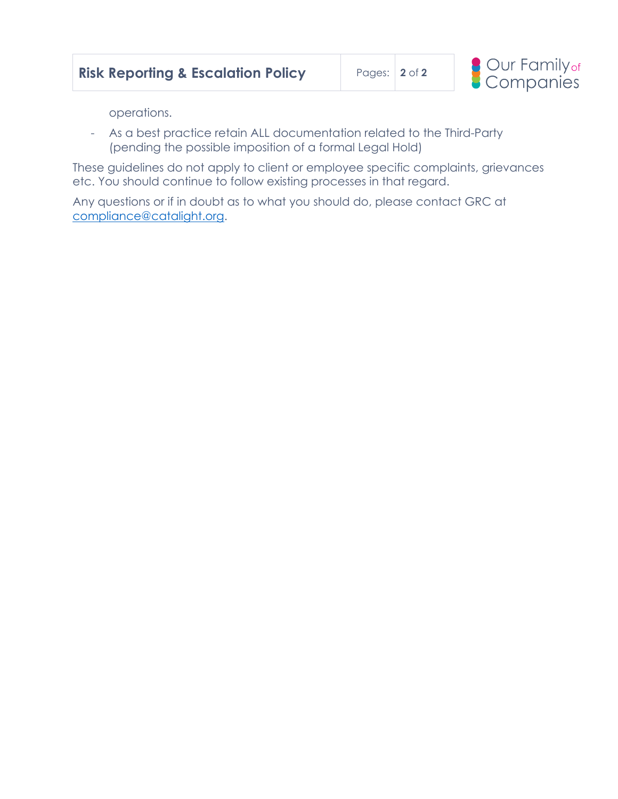

operations.

- As a best practice retain ALL documentation related to the Third-Party (pending the possible imposition of a formal Legal Hold)

These guidelines do not apply to client or employee specific complaints, grievances etc. You should continue to follow existing processes in that regard.

Any questions or if in doubt as to what you should do, please contact GRC at [compliance@catalight.org.](mailto:compliance@catalight.org)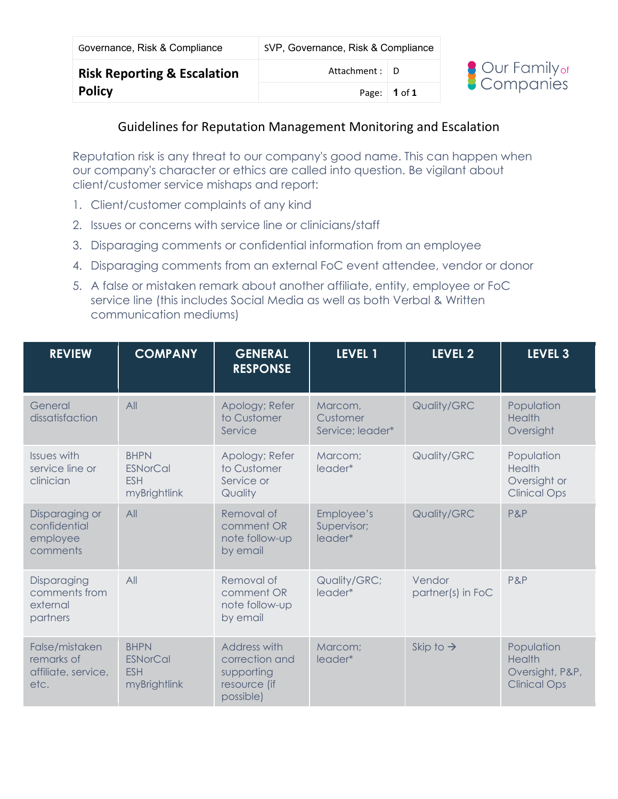| Governance, Risk & Compliance          | SVP, Governance, Risk & Compliance |              |  |
|----------------------------------------|------------------------------------|--------------|--|
| <b>Risk Reporting &amp; Escalation</b> | Attachment : $\Box$ D              |              |  |
| <b>Policy</b>                          |                                    | Page: 1 of 1 |  |



#### Guidelines for Reputation Management Monitoring and Escalation

Reputation risk is any threat to our company's good name. This can happen when our company's character or ethics are called into question. Be vigilant about client/customer service mishaps and report:

- 1. Client/customer complaints of any kind
- 2. Issues or concerns with service line or clinicians/staff
- 3. Disparaging comments or confidential information from an employee
- 4. Disparaging comments from an external FoC event attendee, vendor or donor
- 5. A false or mistaken remark about another affiliate, entity, employee or FoC service line (this includes Social Media as well as both Verbal & Written communication mediums)

| <b>REVIEW</b>                                               | <b>COMPANY</b>                                               | <b>GENERAL</b><br><b>RESPONSE</b>                                                | LEVEL 1                                 | LEVEL 2                     | LEVEL <sub>3</sub>                                                    |
|-------------------------------------------------------------|--------------------------------------------------------------|----------------------------------------------------------------------------------|-----------------------------------------|-----------------------------|-----------------------------------------------------------------------|
| General<br>dissatisfaction                                  | All                                                          | Apology; Refer<br>to Customer<br>Service                                         | Marcom,<br>Customer<br>Service; leader* | Quality/GRC                 | Population<br><b>Health</b><br>Oversight                              |
| <b>Issues with</b><br>service line or<br>clinician          | <b>BHPN</b><br><b>ESNorCal</b><br><b>ESH</b><br>myBrightlink | Apology; Refer<br>to Customer<br>Service or<br>Quality                           | Marcom;<br>leader*                      | Quality/GRC                 | Population<br><b>Health</b><br>Oversight or<br><b>Clinical Ops</b>    |
| Disparaging or<br>confidential<br>employee<br>comments      | All                                                          | Removal of<br>comment OR<br>note follow-up<br>by email                           | Employee's<br>Supervisor;<br>leader*    | Quality/GRC                 | P&P                                                                   |
| Disparaging<br>comments from<br>external<br>partners        | All                                                          | Removal of<br>comment OR<br>note follow-up<br>by email                           | Quality/GRC;<br>leader*                 | Vendor<br>partner(s) in FoC | P&P                                                                   |
| False/mistaken<br>remarks of<br>affiliate, service,<br>etc. | <b>BHPN</b><br><b>ESNorCal</b><br><b>ESH</b><br>myBrightlink | <b>Address with</b><br>correction and<br>supporting<br>resource (if<br>possible) | Marcom;<br>leader*                      | Skip to $\rightarrow$       | Population<br><b>Health</b><br>Oversight, P&P,<br><b>Clinical Ops</b> |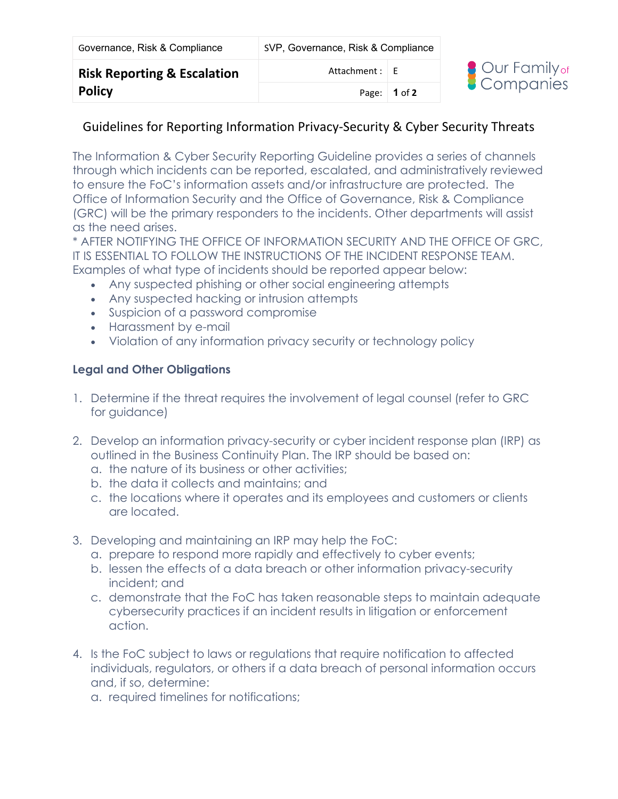| Governance, Risk & Compliance          | SVP, Governance, Risk & Compliance |                      |  |
|----------------------------------------|------------------------------------|----------------------|--|
| <b>Risk Reporting &amp; Escalation</b> | Attachment : $E$                   |                      |  |
| <b>Policy</b>                          |                                    | Page: $\vert$ 1 of 2 |  |



#### Guidelines for Reporting Information Privacy-Security & Cyber Security Threats

The Information & Cyber Security Reporting Guideline provides a series of channels through which incidents can be reported, escalated, and administratively reviewed to ensure the FoC's information assets and/or infrastructure are protected. The Office of Information Security and the Office of Governance, Risk & Compliance (GRC) will be the primary responders to the incidents. Other departments will assist as the need arises.

\* AFTER NOTIFYING THE OFFICE OF INFORMATION SECURITY AND THE OFFICE OF GRC, IT IS ESSENTIAL TO FOLLOW THE INSTRUCTIONS OF THE INCIDENT RESPONSE TEAM. Examples of what type of incidents should be reported appear below:

- Any suspected phishing or other social engineering attempts
- Any suspected hacking or intrusion attempts
- Suspicion of a password compromise
- Harassment by e-mail
- Violation of any information privacy security or technology policy

#### **Legal and Other Obligations**

- 1. Determine if the threat requires the involvement of legal counsel (refer to GRC for guidance)
- 2. Develop an information privacy-security or cyber incident response plan (IRP) as outlined in the Business Continuity Plan. The IRP should be based on:
	- a. the nature of its business or other activities;
	- b. the data it collects and maintains; and
	- c. the locations where it operates and its employees and customers or clients are located.
- 3. Developing and maintaining an IRP may help the FoC:
	- a. prepare to respond more rapidly and effectively to cyber events;
	- b. lessen the effects of a data breach or other information privacy-security incident; and
	- c. demonstrate that the FoC has taken reasonable steps to maintain adequate cybersecurity practices if an incident results in litigation or enforcement action.
- 4. Is the FoC subject to laws or regulations that require notification to affected individuals, regulators, or others if a data breach of personal information occurs and, if so, determine:
	- a. required timelines for notifications;